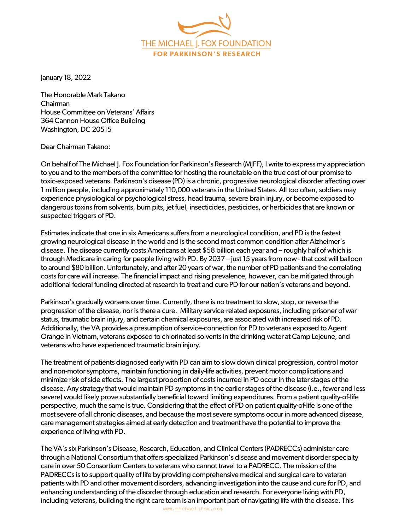THE MICHAEL I. FOX FOUNDATION **FOR PARKINSON'S RESEARCH** 

January 18, 2022

The Honorable Mark Takano  Chairman  House Committee on Veterans' Affairs  364 Cannon House Office Building  Washington, DC 20515 

DearChairman Takano:

On behalf of The Michael J. Fox Foundation for Parkinson's Research (MJFF), I write to express my appreciation to you and to the members of the committee for hosting the roundtable on the true cost of our promise to toxic-exposed veterans. Parkinson's disease (PD) is a chronic, progressive neurological disorder affecting over 1 million people, including approximately 110,000 veterans in the United States. All too often, soldiers may experience physiological or psychological stress, head trauma, severe brain injury, or become exposed to dangerous toxins from solvents, burn pits, jet fuel, insecticides, pesticides, or herbicides that are known or suspected triggers of PD.

Estimates indicate that one in six Americans suffers from a neurological condition, and PD is the fastest growing neurological disease in the world and is the second most common condition after Alzheimer's disease. The disease currently costs Americans at least \$58 billion each year and – roughly half of which is through Medicare in caring for people living with PD. By 2037 – just 15 years from now - that cost will balloon to around \$80 billion. Unfortunately, and after 20 years of war, the number of PD patients and the correlating costs for care will increase. The financial impact and rising prevalence, however, can be mitigated through additional federal funding directed at research to treat and cure PD for our nation's veterans and beyond.

Parkinson's gradually worsens over time. Currently, there is no treatment to slow, stop, or reverse the progression of the disease, nor is there a cure. Military service-related exposures, including prisoner of war status, traumatic brain injury, and certain chemical exposures, are associated with increased risk of PD. Additionally, the VA provides a presumption of service-connection for PD to veterans exposed to Agent Orange in Vietnam, veterans exposed to chlorinated solvents in the drinking water at Camp Lejeune, and veterans who have experienced traumatic brain injury.

The treatment of patients diagnosed early with PD can aim to slow down clinical progression, control motor and non-motor symptoms, maintain functioning in daily-life activities, prevent motor complications and minimize risk of side effects. The largest proportion of costs incurred in PD occur in the later stages of the disease. Any strategy that would maintain PD symptoms in the earlier stages of the disease (i.e., fewer and less severe) would likely prove substantially beneficial toward limiting expenditures. From a patient quality-of-life perspective, much the same is true. Considering that the effect of PD on patient quality-of-life is one of the most severe of all chronic diseases, and because the most severe symptoms occur in more advanced disease, care management strategies aimed at early detection and treatment have the potential to improve the experience of living with PD.

The VA's six Parkinson's Disease, Research, Education, and Clinical Centers (PADRECCs) administer care through a National Consortium that offers specialized Parkinson's disease and movement disorder specialty care in over 50 Consortium Centers to veterans who cannot travel to a PADRECC. The mission of the PADRECCs is to support quality of life by providing comprehensive medical and surgical care to veteran patients with PD and other movement disorders, advancing investigation into the cause and cure for PD, and enhancing understanding of the disorder through education and research. For everyone living with PD, including veterans, building the right care team is an important part of navigating life with the disease. This